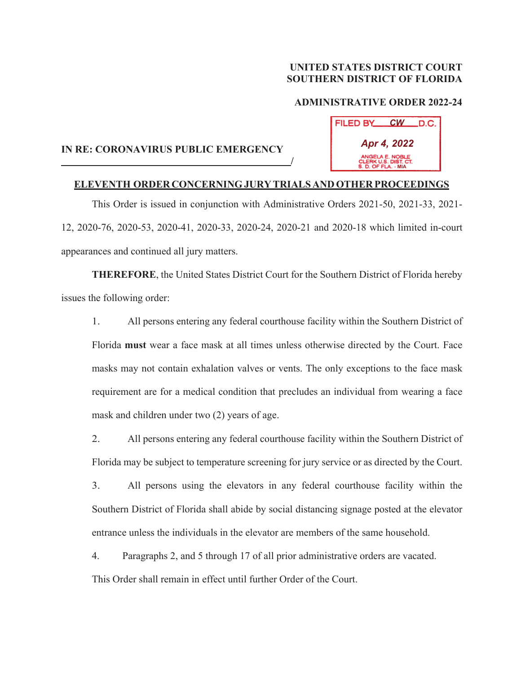## **UNITED STATES DISTRICT COURT SOUTHERN DISTRICT OF FLORIDA**

## **ADMINISTRATIVE ORDER 2022-24**

| FILED BY                                                       | <b>CW</b> | .D.C. |
|----------------------------------------------------------------|-----------|-------|
| Apr 4, 2022                                                    |           |       |
| ANGELA E. NOBLE<br>CLERK U.S. DIST. CT.<br>S. D. OF FLA. - MIA |           |       |

## **IN RE: CORONAVIRUS PUBLIC EMERGENCY**  *<i> / <i>/ / / / / / /*

## **ELEVENTH ORDER CONCERNING JURY TRIALS AND OTHER PROCEEDINGS**

 This Order is issued in conjunction with Administrative Orders 2021-50, 2021-33, 2021- 12, 2020-76, 2020-53, 2020-41, 2020-33, 2020-24, 2020-21 and 2020-18 which limited in-court appearances and continued all jury matters.

 **THEREFORE**, the United States District Court for the Southern District of Florida hereby issues the following order:

1. All persons entering any federal courthouse facility within the Southern District of Florida **must** wear a face mask at all times unless otherwise directed by the Court. Face masks may not contain exhalation valves or vents. The only exceptions to the face mask requirement are for a medical condition that precludes an individual from wearing a face mask and children under two (2) years of age.

2. All persons entering any federal courthouse facility within the Southern District of Florida may be subject to temperature screening for jury service or as directed by the Court.

3. All persons using the elevators in any federal courthouse facility within the Southern District of Florida shall abide by social distancing signage posted at the elevator entrance unless the individuals in the elevator are members of the same household.

4. Paragraphs 2, and 5 through 17 of all prior administrative orders are vacated.

This Order shall remain in effect until further Order of the Court.